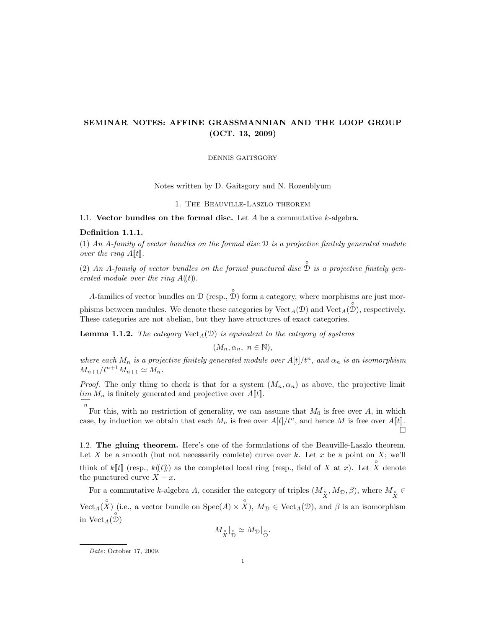# SEMINAR NOTES: AFFINE GRASSMANNIAN AND THE LOOP GROUP (OCT. 13, 2009)

DENNIS GAITSGORY

Notes written by D. Gaitsgory and N. Rozenblyum

1. The Beauville-Laszlo theorem

1.1. Vector bundles on the formal disc. Let  $A$  be a commutative  $k$ -algebra.

#### Definition 1.1.1.

(1) An A-family of vector bundles on the formal disc D is a projective finitely generated module over the ring  $A[[t]]$ .

(2) An A-family of vector bundles on the formal punctured disc  $\hat{\mathbb{D}}$  is a projective finitely generated module over the ring  $A(\mathfrak{t})$ .

A-families of vector bundles on  $\mathcal{D}$  (resp.,  $\hat{\mathcal{D}}$ ) form a category, where morphisms are just morphisms between modules. We denote these categories by  $Vect_A(\mathcal{D})$  and  $Vect_A(\mathcal{D})$ , respectively. These categories are not abelian, but they have structures of exact categories.

**Lemma 1.1.2.** The category  $Vect_A(\mathcal{D})$  is equivalent to the category of systems

$$
(M_n, \alpha_n, n \in \mathbb{N}),
$$

where each  $M_n$  is a projective finitely generated module over  $A[t]/t^n$ , and  $\alpha_n$  is an isomorphism  $M_{n+1}/t^{n+1}M_{n+1} \simeq M_n.$ 

*Proof.* The only thing to check is that for a system  $(M_n, \alpha_n)$  as above, the projective limit  $\lim_{n \to \infty} M_n$  is finitely generated and projective over  $A[\![t]\!]$ .

n For this, with no restriction of generality, we can assume that  $M_0$  is free over A, in which case, by induction we obtain that each  $M_n$  is free over  $A[t]/t^n$ , and hence M is free over  $A[t]$ .  $\Box$ 

1.2. The gluing theorem. Here's one of the formulations of the Beauville-Laszlo theorem. Let X be a smooth (but not necessarily comlete) curve over k. Let x be a point on X; we'll think of k[t] (resp.,  $k(\ell)$ ) as the completed local ring (resp., field of X at x). Let X denote the punctured curve  $X - x$ .

For a commutative *k*-algebra A, consider the category of triples  $(M_{\overset{\circ}{X}}, M_{\mathcal{D}}, \beta)$ , where  $M_{\overset{\circ}{X}} \in$ Vect<sub>A</sub>( $\hat{X}$ ) (i.e., a vector bundle on Spec( $A$ ) ×  $\hat{X}$ ),  $M_{\mathcal{D}} \in \text{Vect}_{A}(\mathcal{D})$ , and  $\beta$  is an isomorphism in  $\mathrm{Vect}_A(\overset{\circ}{\mathcal{D}})$ 

$$
M_{\overset{\circ}{X}}|_{\overset{\circ}{\mathcal{D}}} \simeq M_{\mathcal{D}}|_{\overset{\circ}{\mathcal{D}}}.
$$

Date: October 17, 2009.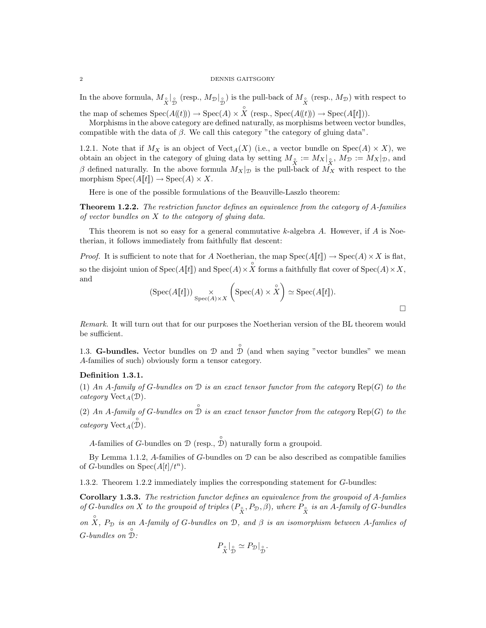#### 2 DENNIS GAITSGORY

In the above formula,  $M_{\circ}$  |<sub> $\circ$ </sub> (resp.,  $M_{\mathcal{D}}|_{\circ}$ ) is the pull-back of  $M_{\circ}$  (resp.,  $M_{\mathcal{D}}$ ) with respect to

the map of schemes  $Spec(A(\mathcal{A}(t))) \to Spec(A) \times \hat{X}$  (resp.,  $Spec(A(\mathcal{A}(t))) \to Spec(A[\mathcal{t}]))$ ).

Morphisms in the above category are defined naturally, as morphisms between vector bundles, compatible with the data of  $\beta$ . We call this category "the category of gluing data".

1.2.1. Note that if  $M_X$  is an object of  $Vect_A(X)$  (i.e., a vector bundle on  $Spec(A) \times X$ ), we obtain an object in the category of gluing data by setting  $M_{\overset{\circ}{X}} := M_X|_{\overset{\circ}{X}}, M_{\mathcal{D}} := M_X|_{\mathcal{D}},$  and β defined naturally. In the above formula  $M_X|_{\mathcal{D}}$  is the pull-back of  $\overrightarrow{M_X}$  with respect to the morphism  $Spec(A[\![t]\!]) \to Spec(A) \times X$ .

Here is one of the possible formulations of the Beauville-Laszlo theorem:

**Theorem 1.2.2.** The restriction functor defines an equivalence from the category of A-families of vector bundles on  $X$  to the category of gluing data.

This theorem is not so easy for a general commutative  $k$ -algebra  $A$ . However, if  $A$  is Noetherian, it follows immediately from faithfully flat descent:

*Proof.* It is sufficient to note that for A Noetherian, the map  $Spec(A[t]) \to Spec(A) \times X$  is flat, so the disjoint union of  $Spec(A[\![t]\!])$  and  $Spec(A) \times \overset{\circ}{X}$  forms a faithfully flat cover of  $Spec(A) \times X$ , and

$$
(\text{Spec}(A[\![t]\!])) \underset{\text{Spec}(A) \times X}{\times} \left( \text{Spec}(A) \times \overset{\circ}{X} \right) \simeq \text{Spec}(A[\![t]\!]).
$$

Remark. It will turn out that for our purposes the Noetherian version of the BL theorem would be sufficient.

1.3. **G-bundles.** Vector bundles on  $\mathcal{D}$  and  $\hat{\mathcal{D}}$  (and when saying "vector bundles" we mean A-families of such) obviously form a tensor category.

## Definition 1.3.1.

(1) An A-family of G-bundles on  $\mathcal D$  is an exact tensor functor from the category  $\text{Rep}(G)$  to the category  $Vect_A(\mathcal{D})$ .

(2) An A-family of G-bundles on  $\hat{\mathcal{D}}$  is an exact tensor functor from the category  $\text{Rep}(G)$  to the  $category \, Vect_A(\overset{\circ}{\mathcal{D}}).$ 

A-families of G-bundles on  $\mathcal D$  (resp.,  $\hat{\mathcal D}$ ) naturally form a groupoid.

By Lemma 1.1.2, A-families of  $G$ -bundles on  $D$  can be also described as compatible families of G-bundles on  $Spec(A[t]/t^n)$ .

1.3.2. Theorem 1.2.2 immediately implies the corresponding statement for G-bundles:

Corollary 1.3.3. The restriction functor defines an equivalence from the groupoid of A-famlies of G-bundles on X to the groupoid of triples  $(P_{\hat{X}}, P_{\mathcal{D}}, \beta)$ , where  $P_{\hat{X}}$  is an A-family of G-bundles on  $\hat{X}$ ,  $P_{\mathcal{D}}$  is an A-family of G-bundles on  $\mathcal{D}$ , and  $\beta$  is an isomorphism between A-famlies of  $G$ -bundles on  $\hat{\mathbb{D}}$ :

$$
P_{\overset{\circ}{X}}|_{\overset{\circ}{\mathcal{D}}} \simeq P_{\mathcal{D}}|_{\overset{\circ}{\mathcal{D}}}.
$$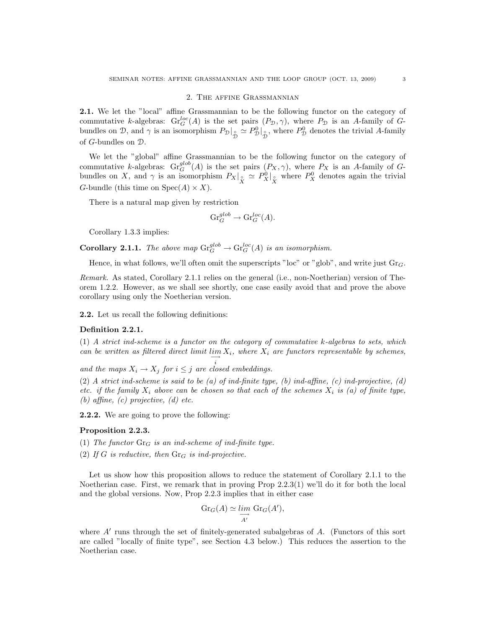#### 2. The affine Grassmannian

2.1. We let the "local" affine Grassmannian to be the following functor on the category of commutative k-algebras:  $\mathrm{Gr}_{G}^{loc}(A)$  is the set pairs  $(P_{\mathcal{D}}, \gamma)$ , where  $P_{\mathcal{D}}$  is an A-family of Gbundles on D, and  $\gamma$  is an isomorphism  $P_{\mathcal{D}}|_{\hat{\mathcal{D}}} \simeq P_{\mathcal{D}}^0|_{\hat{\mathcal{D}}}$ , where  $P_{\mathcal{D}}^0$  denotes the trivial A-family of G-bundles on D.

We let the "global" affine Grassmannian to be the following functor on the category of commutative k-algebras:  $\mathrm{Gr}^{glob}_G(A)$  is the set pairs  $(P_X, \gamma)$ , where  $P_X$  is an A-family of Gbundles on X, and  $\gamma$  is an isomorphism  $P_X|_{\stackrel{\circ}{X}} \simeq P_X^0|_{\stackrel{\circ}{X}}$  where  $P_X^0$  denotes again the trivial G-bundle (this time on  $Spec(A) \times X$ ).

There is a natural map given by restriction

$$
\mathrm{Gr}_G^{glob} \to \mathrm{Gr}_G^{loc}(A).
$$

Corollary 1.3.3 implies:

**Corollary 2.1.1.** The above map  $\mathrm{Gr}_G^{glob} \to \mathrm{Gr}_G^{loc}(A)$  is an isomorphism.

Hence, in what follows, we'll often omit the superscripts "loc" or "glob", and write just  $Gr_G$ .

Remark. As stated, Corollary 2.1.1 relies on the general (i.e., non-Noetherian) version of Theorem 1.2.2. However, as we shall see shortly, one case easily avoid that and prove the above corollary using only the Noetherian version.

2.2. Let us recall the following definitions:

### Definition 2.2.1.

(1) A strict ind-scheme is a functor on the category of commutative k-algebras to sets, which can be written as filtered direct limit  $\lim_{n \to \infty} X_i$ , where  $X_i$  are functors representable by schemes,

and the maps  $X_i \to X_j$  for  $i \leq j$  are closed embeddings.

(2) A strict ind-scheme is said to be (a) of ind-finite type, (b) ind-affine, (c) ind-projective, (d) etc. if the family  $X_i$  above can be chosen so that each of the schemes  $X_i$  is (a) of finite type, (b) affine, (c) projective, (d) etc.

2.2.2. We are going to prove the following:

## Proposition 2.2.3.

(1) The functor  $\text{Gr}_G$  is an ind-scheme of ind-finite type.

(2) If G is reductive, then  $\text{Gr}_G$  is ind-projective.

Let us show how this proposition allows to reduce the statement of Corollary 2.1.1 to the Noetherian case. First, we remark that in proving Prop 2.2.3(1) we'll do it for both the local and the global versions. Now, Prop 2.2.3 implies that in either case

$$
\operatorname{Gr}_G(A) \simeq \varinjlim_{A'} \operatorname{Gr}_G(A'),
$$

where  $A'$  runs through the set of finitely-generated subalgebras of  $A$ . (Functors of this sort are called "locally of finite type", see Section 4.3 below.) This reduces the assertion to the Noetherian case.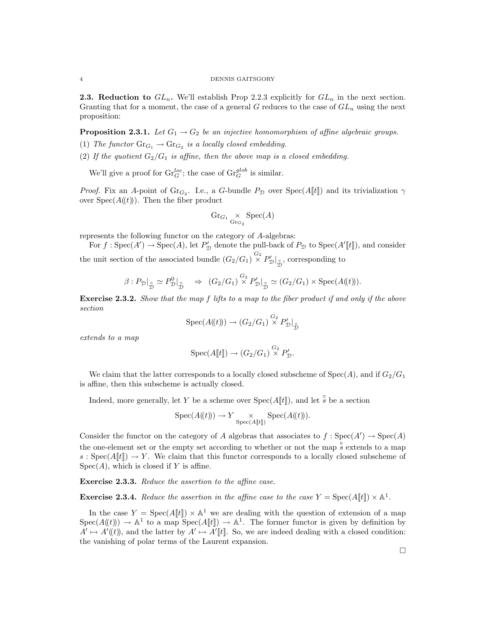#### 4 DENNIS GAITSGORY

**2.3. Reduction to**  $GL_n$ . We'll establish Prop 2.2.3 explicitly for  $GL_n$  in the next section. Granting that for a moment, the case of a general G reduces to the case of  $GL_n$  using the next proposition:

**Proposition 2.3.1.** Let  $G_1 \rightarrow G_2$  be an injective homomorphism of affine algebraic groups.

- (1) The functor  $\text{Gr}_{G_1} \to \text{Gr}_{G_2}$  is a locally closed embedding.
- (2) If the quotient  $G_2/G_1$  is affine, then the above map is a closed embedding.

We'll give a proof for  $\text{Gr}_G^{loc}$ ; the case of  $\text{Gr}_G^{glob}$  is similar.

*Proof.* Fix an A-point of Gr<sub>G<sub>2</sub></sub>. I.e., a G-bundle  $P_{\mathcal{D}}$  over  $Spec(A[\![t]\!])$  and its trivialization  $\gamma$ over  $Spec(A(\mathcal{t}))$ . Then the fiber product

$$
\operatorname{Gr}_{G_1} \underset{\operatorname{Gr}_{G_2}}{\times} \operatorname{Spec}(A)
$$

represents the following functor on the category of A-algebras:

For  $f:Spec(A') \to Spec(A)$ , let  $P'_{\mathcal{D}}$  denote the pull-back of  $P_{\mathcal{D}}$  to  $Spec(A'[t])$ , and consider the unit section of the associated bundle  $(G_2/G_1) \overset{G_2}{\times} P'_{\mathcal{D}}|_{\overset{\circ}{\mathcal{D}}}$ , corresponding to

$$
\beta: P_{\mathcal{D}}|_{\stackrel{\circ}{\mathcal{D}}} \simeq P_{\mathcal{D}}^0|_{\stackrel{\circ}{\mathcal{D}}} \Rightarrow (G_2/G_1) \stackrel{G_2}{\times} P_{\mathcal{D}}'|_{\stackrel{\circ}{\mathcal{D}}} \simeq (G_2/G_1) \times \text{Spec}(A(\!(t)\!)).
$$

Exercise 2.3.2. Show that the map f lifts to a map to the fiber product if and only if the above section

$$
Spec(A(\!(t)\!)) \to (G_2/G_1) \overset{G_2}{\times} P'_\mathcal{D}|_{\overset{\circ}{\mathcal{D}}}
$$

extends to a map

$$
Spec(A[\![t]\!]) \to (G_2/G_1) \overset{G_2}{\times} P'_\mathcal{D}.
$$

We claim that the latter corresponds to a locally closed subscheme of  $Spec(A)$ , and if  $G_2/G_1$ is affine, then this subscheme is actually closed.

Indeed, more generally, let Y be a scheme over  $Spec(A[\![t]\!])$ , and let  $\overset{\circ}{s}$  be a section

$$
Spec(A(\!(t)\!)) \to Y \underset{Spec(A[\![t]\!])}{\times} Spec(A(\!(t)\!)).
$$

Consider the functor on the category of A algebras that associates to  $f : Spec(A') \to Spec(A)$ the one-element set or the empty set according to whether or not the map  $\frac{\circ}{s}$  extends to a map s : Spec $(A[[t]]) \to Y$ . We claim that this functor corresponds to a locally closed subscheme of  $Spec(A)$ , which is closed if Y is affine.

Exercise 2.3.3. Reduce the assertion to the affine case.

**Exercise 2.3.4.** Reduce the assertion in the affine case to the case  $Y = \text{Spec}(A[\![t]\!]) \times \mathbb{A}^1$ .

In the case  $Y = \text{Spec}(A[\![t]\!]) \times \mathbb{A}^1$  we are dealing with the question of extension of a map  $Spec(A(\mathbf{t})) \to \mathbb{A}^1$  to a map  $Spec(A[\mathbf{t}]) \to \mathbb{A}^1$ . The former functor is given by definition by  $A' \mapsto A'(\mathbf{k})$ , and the latter by  $A' \mapsto A'[\![\mathbf{k}]\!]$ . So, we are indeed dealing with a closed condition: the vanishing of polar terms of the Laurent expansion.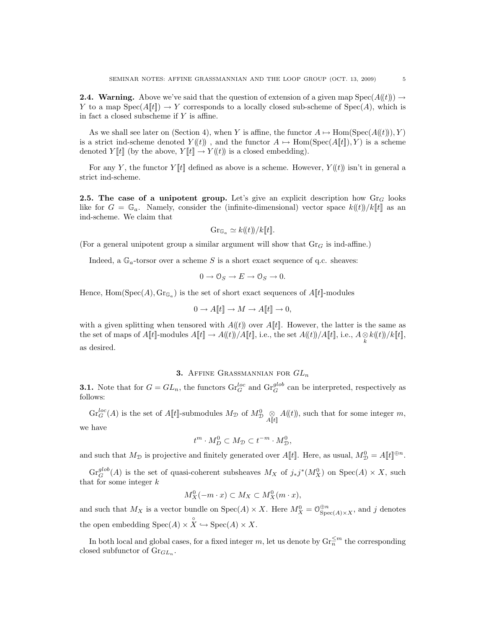As we shall see later on (Section 4), when Y is affine, the functor  $A \mapsto \text{Hom}(\text{Spec}(A(\ell\{t})), Y)$ is a strict ind-scheme denoted  $Y(\ell)$ , and the functor  $A \mapsto \text{Hom}(\text{Spec}(A[\![t]\!]), Y)$  is a scheme denoted  $Y[[t]]$  (by the above,  $Y[[t]] \to Y(\!(t)\!)$  is a closed embedding).

For any Y, the functor  $Y[[t]]$  defined as above is a scheme. However,  $Y((t))$  isn't in general a strict ind-scheme.

**2.5.** The case of a unipotent group. Let's give an explicit description how  $\text{Gr}_G$  looks like for  $G = \mathbb{G}_a$ . Namely, consider the (infinite-dimensional) vector space  $k((t))/k[t]$  as an ind-scheme. We claim that

$$
Gr_{\mathbb{G}_a} \simeq k(\!(t)\!)/k[\![t]\!].
$$

(For a general unipotent group a similar argument will show that  $Gr_G$  is ind-affine.)

Indeed, a  $\mathbb{G}_a$ -torsor over a scheme S is a short exact sequence of q.c. sheaves:

$$
0\to \mathcal{O}_S\to E\to \mathcal{O}_S\to 0.
$$

Hence,  $\text{Hom}(\text{Spec}(A), \text{Gr}_{\mathbb{G}_a})$  is the set of short exact sequences of  $A[[t]]$ -modules

$$
0 \to A[\![t]\!] \to M \to A[\![t]\!] \to 0,
$$

with a given splitting when tensored with  $A(\ell t)$  over  $A[\ell t]$ . However, the latter is the same as the set of maps of  $A[[t]]$ -modules  $A[[t]] \to A(\!(t)\!)/A[\![t]\!]$ , i.e., the set  $A(\!(t)\!)/A[\![t]\!]$ , i.e.,  $A \underset{k}{\otimes} k(\!(t)\!)/k[\![t]\!]$ , as desired.

## 3. AFFINE GRASSMANNIAN FOR  $GL_n$

**3.1.** Note that for  $G = GL_n$ , the functors  $\text{Gr}_G^{loc}$  and  $\text{Gr}_G^{glob}$  can be interpreted, respectively as follows:

 $\text{Gr}_G^{loc}(A)$  is the set of  $A[[t]]$ -submodules  $M_{\mathcal{D}}$  of  $M_{\mathcal{D}}^0 \underset{A[[t]]}{\otimes} A(\!(t)\!)$ , such that for some integer m,

we have

$$
t^m \cdot M_D^0 \subset M_{\mathcal{D}} \subset t^{-m} \cdot M_{\mathcal{D}}^0,
$$

and such that  $M_{\mathcal{D}}$  is projective and finitely generated over  $A[\![t]\!]$ . Here, as usual,  $M_{\mathcal{D}}^0 = A[\![t]\!]^{\oplus n}$ .

 $\text{Gr}_G^{glob}(A)$  is the set of quasi-coherent subsheaves  $M_X$  of  $j_*j^*(M_X^0)$  on  $\text{Spec}(A) \times X$ , such that for some integer  $k$ 

$$
M_X^0(-m \cdot x) \subset M_X \subset M_X^0(m \cdot x),
$$

and such that  $M_X$  is a vector bundle on  $Spec(A) \times X$ . Here  $M_X^0 = \mathcal{O}_{Spec(A) \times X}^{\oplus n}$ , and j denotes the open embedding  $Spec(A) \times \overset{\circ}{X} \hookrightarrow Spec(A) \times X$ .

In both local and global cases, for a fixed integer m, let us denote by  $\text{Gr}_{n}^{\leq m}$  the corresponding closed subfunctor of  $\mathrm{Gr}_{GL_n}$ .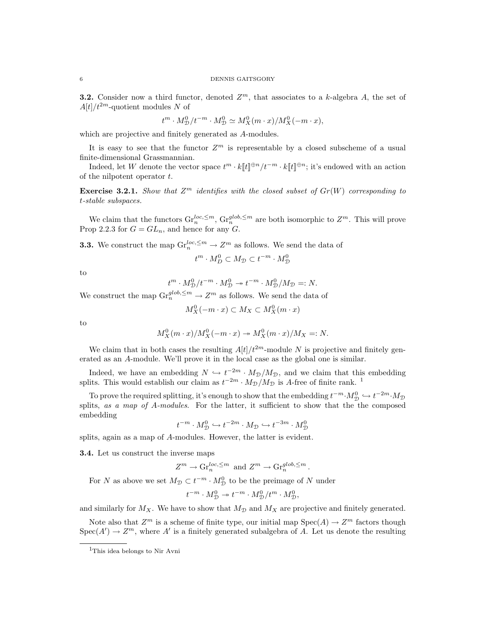**3.2.** Consider now a third functor, denoted  $Z^m$ , that associates to a k-algebra A, the set of  $A[t]/t^{2m}$ -quotient modules N of

$$
t^m \cdot M_{\mathcal{D}}^0 / t^{-m} \cdot M_{\mathcal{D}}^0 \simeq M_X^0 (m \cdot x) / M_X^0 (-m \cdot x),
$$

which are projective and finitely generated as A-modules.

It is easy to see that the functor  $Z^m$  is representable by a closed subscheme of a usual finite-dimensional Grassmannian.

Indeed, let W denote the vector space  $t^m \cdot k[[t]]^{\oplus n}/t^{-m} \cdot k[[t]]^{\oplus n}$ ; it's endowed with an action of the nilpotent operator t.

**Exercise 3.2.1.** Show that  $Z^m$  identifies with the closed subset of  $Gr(W)$  corresponding to t-stable subspaces.

We claim that the functors  $\mathrm{Gr}_n^{\text{loc}, \leq m}$ ,  $\mathrm{Gr}_n^{\text{glob}, \leq m}$  are both isomorphic to  $\mathbb{Z}^m$ . This will prove Prop 2.2.3 for  $G = GL_n$ , and hence for any G.

**3.3.** We construct the map  $\mathrm{Gr}^{loc, \leq m}_{n} \to Z^{m}$  as follows. We send the data of

$$
t^m \cdot M_D^0 \subset M_{\mathcal{D}} \subset t^{-m} \cdot M_{\mathcal{D}}^0
$$

to

$$
t^m\cdot M^0_{\mathcal{D}}/t^{-m}\cdot M^0_{\mathcal{D}}\twoheadrightarrow t^{-m}\cdot M^0_{\mathcal{D}}/M_{\mathcal{D}}=:N.
$$

We construct the map  $\mathrm{Gr}^{glob, \leq m}_n \to Z^m$  as follows. We send the data of

$$
M_X^0(-m \cdot x) \subset M_X \subset M_X^0(m \cdot x)
$$

to

$$
M_X^0(m \cdot x)/M_X^0(-m \cdot x) \twoheadrightarrow M_X^0(m \cdot x)/M_X =: N.
$$

We claim that in both cases the resulting  $A[t]/t^{2m}$ -module N is projective and finitely generated as an A-module. We'll prove it in the local case as the global one is similar.

Indeed, we have an embedding  $N \hookrightarrow t^{-2m} \cdot M_{\mathcal{D}}/M_{\mathcal{D}}$ , and we claim that this embedding splits. This would establish our claim as  $t^{-2m} \cdot M_{\mathcal{D}}/M_{\mathcal{D}}$  is A-free of finite rank. <sup>1</sup>

To prove the required splitting, it's enough to show that the embedding  $t^{-m} \cdot M_{\mathcal{D}}^0 \hookrightarrow t^{-2m} \cdot M_{\mathcal{D}}$ splits, as a map of A-modules. For the latter, it sufficient to show that the the composed embedding

$$
t^{-m}\cdot M^0_{\mathcal{D}} \hookrightarrow t^{-2m}\cdot M_{\mathcal{D}} \hookrightarrow t^{-3m}\cdot M^0_{\mathcal{D}}
$$

splits, again as a map of A-modules. However, the latter is evident.

3.4. Let us construct the inverse maps

$$
Z^m \to \mathrm{Gr}_n^{\text{loc}, \leq m}
$$
 and  $Z^m \to \mathrm{Gr}_n^{\text{glob}, \leq m}$ .

For N as above we set  $M_{\mathcal{D}} \subset t^{-m} \cdot M_{\mathcal{D}}^0$  to be the preimage of N under

$$
t^{-m} \cdot M_{\mathcal{D}}^0 \twoheadrightarrow t^{-m} \cdot M_{\mathcal{D}}^0 / t^m \cdot M_{\mathcal{D}}^0,
$$

and similarly for  $M_X$ . We have to show that  $M_{\mathcal{D}}$  and  $M_X$  are projective and finitely generated.

Note also that  $Z^m$  is a scheme of finite type, our initial map  $Spec(A) \to Z^m$  factors though  $Spec(A') \to Z^m$ , where A' is a finitely generated subalgebra of A. Let us denote the resulting

<sup>1</sup>This idea belongs to Nir Avni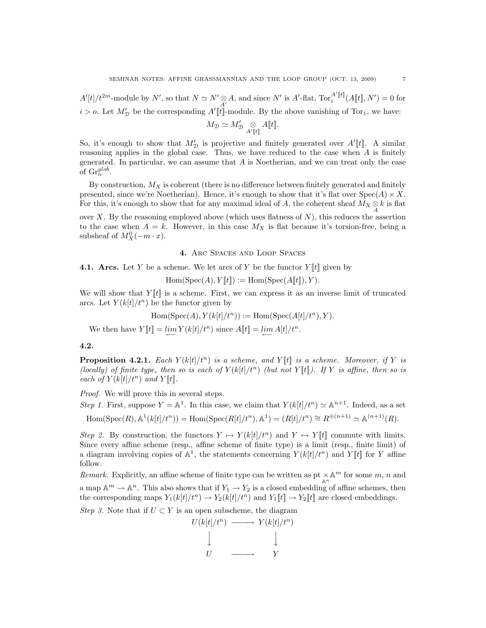$A'[t]/t^{2m}$ -module by N', so that  $N \simeq N' \otimes A$ , and since N' is  $A'$ -flat,  $\text{Tor}_{i}^{A'[t]}(A[[t], N') = 0$  for  $i > o$ . Let  $M'_{\mathcal{D}}$  be the corresponding  $A'[[t]]$ -module. By the above vanishing of Tor<sub>1</sub>, we have:

$$
M_{\mathcal{D}} \simeq M_{\mathcal{D}}' \underset{A'[t]}{\otimes} A[[t]].
$$

So, it's enough to show that  $M'_{\mathcal{D}}$  is projective and finitely generated over  $A'[t]$ . A similar reasoning applies in the global case. Thus, we have reduced to the case when  $A$  is finitely generated. In particular, we can assume that A is Noetherian, and we can treat only the case of  $\mathrm{Gr}^{glob}_n$ .

By construction,  $M_X$  is coherent (there is no difference between finitely generated and finitely presented, since we're Noetherian). Hence, it's enough to show that it's flat over  $Spec(A) \times X$ . For this, it's enough to show that for any maximal ideal of A, the coherent sheaf  $M_X \underset{A}{\otimes} k$  is flat

over X. By the reasoning employed above (which uses flatness of  $N$ ), this reduces the assertion to the case when  $A = k$ . However, in this case  $M_X$  is flat because it's torsion-free, being a subsheaf of  $M_X^0(-m \cdot x)$ .

## 4. Arc Spaces and Loop Spaces

**4.1.** Arcs. Let Y be a scheme. We let arcs of Y be the functor  $Y[[t]]$  given by

 $Hom(Spec(A), Y[[t]]) := Hom(Spec(A[[t]]), Y).$ 

We will show that  $Y[[t]]$  is a scheme. First, we can express it as an inverse limit of truncated arcs. Let  $Y(k[t]/t^n)$  be the functor given by

$$
Hom(Spec(A), Y(k[t]/t^n)) := Hom(Spec(A[t]/t^n), Y).
$$

We then have  $Y[[t]] = \lim_{\longleftarrow} Y(k[t]/t^n)$  since  $A[[t]] = \lim_{\longleftarrow} A[t]/t^n$ .

#### 4.2.

**Proposition 4.2.1.** Each  $Y(k|t|/t^n)$  is a scheme, and  $Y[t]$  is a scheme. Moreover, if Y is (locally) of finite type, then so is each of  $Y(k|t|/t^n)$  (but not Y ||t||). If Y is affine, then so is each of  $Y(k[t]/t^n)$  and  $Y[t]$ .

Proof. We will prove this in several steps.

Step 1. First, suppose  $Y = \mathbb{A}^1$ . In this case, we claim that  $Y(k[t]/t^n) \simeq \mathbb{A}^{n+1}$ . Indeed, as a set  $\text{Hom}(\text{Spec}(R), \mathbb{A}^1(k[t]/t^n)) = \text{Hom}(\text{Spec}(R[t]/t^n), \mathbb{A}^1) = (R[t]/t^n) \cong R^{\oplus (n+1)} \simeq \mathbb{A}^{(n+1)}(R).$ 

Step 2. By construction, the functors  $Y \mapsto Y(k[t]/t^n)$  and  $Y \mapsto Y[t]$  commute with limits. Since every affine scheme (resp., affine scheme of finite type) is a limit (resp., finite limit) of a diagram involving copies of  $\mathbb{A}^1$ , the statements concerning  $Y(k[t]/t^n)$  and  $Y[t]$  for Y affine follow.

Remark. Explicitly, an affine scheme of finite type can be written as  $pt \times \mathbb{A}^m$  for some  $m, n$  and a map  $\mathbb{A}^m \to \mathbb{A}^n$ . This also shows that if  $Y_1 \to Y_2$  is a closed embedding of affine schemes, then the corresponding maps  $Y_1(k[t]/t^n) \to Y_2(k[t]/t^n)$  and  $Y_1[\![t]\!] \to Y_2[\![t]\!]$  are closed embeddings.

Step 3. Note that if  $U \subset Y$  is an open subscheme, the diagram

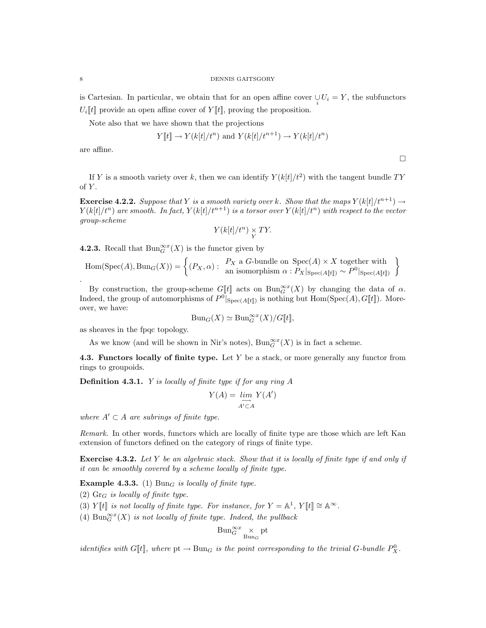is Cartesian. In particular, we obtain that for an open affine cover  $\bigcup_i U_i = Y$ , the subfunctors  $U_i[[t]]$  provide an open affine cover of  $Y[[t]]$ , proving the proposition.

Note also that we have shown that the projections

$$
Y[[t]] \to Y(k[t]/t^n)
$$
 and  $Y(k[t]/t^{n+1}) \to Y(k[t]/t^n)$ 

 $\Box$ 

are affine.

If Y is a smooth variety over k, then we can identify  $Y(k[t]/t^2)$  with the tangent bundle TY of  $Y$ .

**Exercise 4.2.2.** Suppose that Y is a smooth variety over k. Show that the maps  $Y(k[t]/t^{n+1}) \rightarrow$  $Y(k[t]/t^n)$  are smooth. In fact,  $Y(k[t]/t^{n+1})$  is a torsor over  $Y(k[t]/t^n)$  with respect to the vector group-scheme

$$
Y(k[t]/t^n) \underset{Y}{\times} TY.
$$

**4.2.3.** Recall that  $\text{Bun}_{G}^{\infty x}(X)$  is the functor given by

 $\text{Hom}(\text{Spec}(A), \text{Bun}_G(X)) = \left\{ (P_X, \alpha) : \begin{array}{l} P_X \text{ a } G\text{-bundle on } \text{Spec}(A) \times X \text{ together with} \\ \text{an isomorphism } \alpha : P_X|_{\text{Spec}(A[\![t]\!])} \sim P^0|_{\text{Spec}(A[\![t]\!])} \end{array} \right\}$ 

By construction, the group-scheme  $G[[t]]$  acts on  $Bun_{G}^{\infty x}(X)$  by changing the data of  $\alpha$ . Indeed, the group of automorphisms of  $P^0|_{Spec(A[\![t]\!])}$  is nothing but  $Hom(Spec(A), G[\![t]\!])$ . Moreover, we have:

$$
Bun_G(X) \simeq Bun_G^{\infty x}(X)/G[[t]],
$$

as sheaves in the fpqc topology.

As we know (and will be shown in Nir's notes),  $\text{Bun}_G^{\infty x}(X)$  is in fact a scheme.

**4.3. Functors locally of finite type.** Let  $Y$  be a stack, or more generally any functor from rings to groupoids.

**Definition 4.3.1.** Y is locally of finite type if for any ring  $A$ 

$$
Y(A) = \varinjlim_{A' \subset A} Y(A')
$$

where  $A' \subset A$  are subrings of finite type.

Remark. In other words, functors which are locally of finite type are those which are left Kan extension of functors defined on the category of rings of finite type.

**Exercise 4.3.2.** Let Y be an algebraic stack. Show that it is locally of finite type if and only if it can be smoothly covered by a scheme locally of finite type.

**Example 4.3.3.** (1) Bun<sub>G</sub> is locally of finite type.

(2)  $Gr_G$  is locally of finite type.

(3) Y[t] is not locally of finite type. For instance, for  $Y = \mathbb{A}^1$ ,  $Y[[t]] \cong \mathbb{A}^{\infty}$ .

(4)  $\text{Bun}_{G}^{\infty x}(X)$  is not locally of finite type. Indeed, the pullback

$$
\mathrm{Bun}_G^{\infty x} \underset{\mathrm{Bun}_G}{\times} \mathrm{pt}
$$

identifies with  $G[\![t]\!]$ , where  $pt \to Bun_G$  is the point corresponding to the trivial G-bundle  $P^0_X$ .

.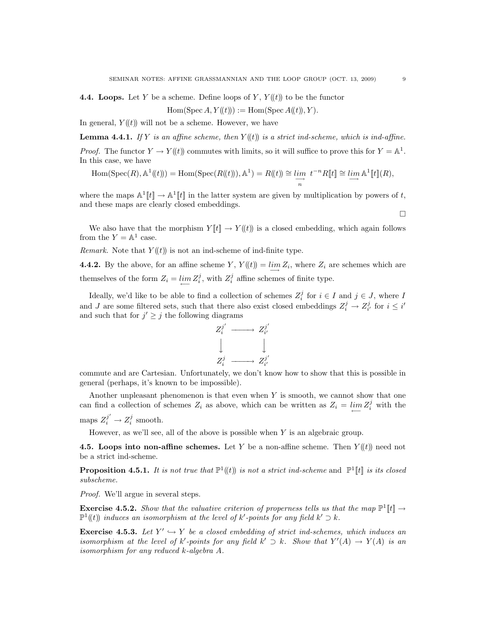**4.4. Loops.** Let Y be a scheme. Define loops of Y,  $Y(\ell)$  to be the functor

$$
Hom(\operatorname{Spec} A, Y(\!(t)\!)): = \operatorname{Hom}(\operatorname{Spec} A(\!(t)\!), Y).
$$

In general,  $Y(\ell t)$  will not be a scheme. However, we have

**Lemma 4.4.1.** If Y is an affine scheme, then  $Y(\ell)$  is a strict ind-scheme, which is ind-affine. *Proof.* The functor  $Y \to Y(\!(t)\!)$  commutes with limits, so it will suffice to prove this for  $Y = \mathbb{A}^1$ . In this case, we have

$$
\mathrm{Hom}(\mathrm{Spec}(R),\mathbb{A}^1(\!(t)\!))=\mathrm{Hom}(\mathrm{Spec}(R(\!(t)\!)),\mathbb{A}^1)=R(\!(t)\!)\cong \varinjlim_n t^{-n}R[\![t]\!]\cong \varinjlim \mathbb{A}^1[\![t]\!](R),
$$

where the maps  $\mathbb{A}^1[[t]] \to \mathbb{A}^1[[t]]$  in the latter system are given by multiplication by powers of t, and these maps are clearly closed embeddings.

We also have that the morphism  $Y[[t]] \to Y((t))$  is a closed embedding, which again follows from the  $Y = \mathbb{A}^1$  case.

*Remark.* Note that  $Y(\ell)$  is not an ind-scheme of ind-finite type.

**4.4.2.** By the above, for an affine scheme Y,  $Y(\ell) = \lim_{n \to \infty} Z_i$ , where  $Z_i$  are schemes which are themselves of the form  $Z_i = \lim_{i \to \infty} Z_i^j$ , with  $Z_i^j$  affine schemes of finite type.

Ideally, we'd like to be able to find a collection of schemes  $Z_i^j$  for  $i \in I$  and  $j \in J$ , where I and J are some filtered sets, such that there also exist closed embeddings  $Z_i^j \rightarrow Z_{i'}^j$  for  $i \leq i'$ and such that for  $j' \geq j$  the following diagrams



commute and are Cartesian. Unfortunately, we don't know how to show that this is possible in general (perhaps, it's known to be impossible).

Another unpleasant phenomenon is that even when Y is smooth, we cannot show that one can find a collection of schemes  $Z_i$  as above, which can be written as  $Z_i = \lim_{n \to \infty} Z_i^j$  with the maps  $Z_i^{j'} \to Z_i^j$  smooth.

However, as we'll see, all of the above is possible when Y is an algebraic group.

**4.5. Loops into non-affine schemes.** Let Y be a non-affine scheme. Then  $Y(\ell)$  need not be a strict ind-scheme.

**Proposition 4.5.1.** It is not true that  $\mathbb{P}^1(\mathbf{t})$  is not a strict ind-scheme and  $\mathbb{P}^1[\mathbf{t}]$  is its closed subscheme.

Proof. We'll argue in several steps.

**Exercise 4.5.2.** Show that the valuative criterion of properness tells us that the map  $\mathbb{P}^1[\![t]\!] \rightarrow$  $\mathbb{P}^1(\mathfrak{t})$  induces an isomorphism at the level of k'-points for any field  $k' \supset k$ .

**Exercise 4.5.3.** Let  $Y' \hookrightarrow Y$  be a closed embedding of strict ind-schemes, which induces an isomorphism at the level of k'-points for any field  $k' \supset k$ . Show that  $Y'(A) \to Y(A)$  is an isomorphism for any reduced k-algebra A.

 $\Box$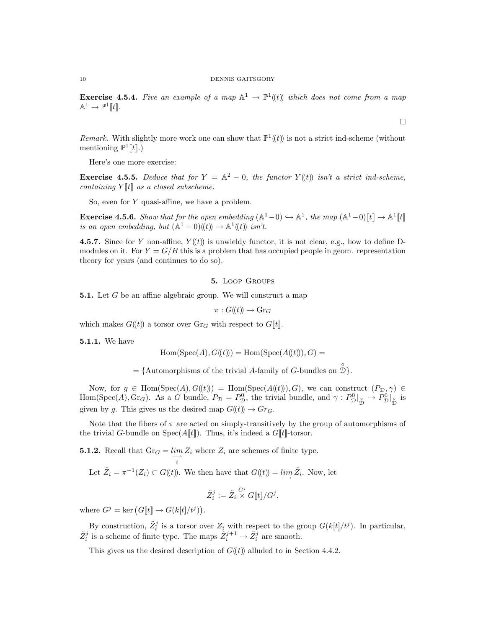**Exercise 4.5.4.** Five an example of a map  $A^1 \to \mathbb{P}^1(\mathfrak{t})$  which does not come from a map  $\mathbb{A}^1 \to \mathbb{P}^1[\![t]\!].$ 

Remark. With slightly more work one can show that  $\mathbb{P}^1((t))$  is not a strict ind-scheme (without mentioning  $\mathbb{P}^1[\![t]\!].$ 

Here's one more exercise:

**Exercise 4.5.5.** Deduce that for  $Y = \mathbb{A}^2 - 0$ , the functor  $Y(\mathbf{t})$  isn't a strict ind-scheme, containing  $Y[[t]]$  as a closed subscheme.

So, even for  $Y$  quasi-affine, we have a problem.

**Exercise 4.5.6.** Show that for the open embedding  $(A^1 - 0) \hookrightarrow A^1$ , the map  $(A^1 - 0)[t] \to A^1[t]$ is an open embedding, but  $(\mathbb{A}^1 - 0)(\overline{(t)}) \to \mathbb{A}^1((t))$  isn't.

4.5.7. Since for Y non-affine,  $Y(\ell)$  is unwieldy functor, it is not clear, e.g., how to define Dmodules on it. For  $Y = G/B$  this is a problem that has occupied people in geom. representation theory for years (and continues to do so).

#### 5. Loop Groups

5.1. Let G be an affine algebraic group. We will construct a map

$$
\pi: G(\!(t)\!) \to \mathrm{Gr}_G
$$

which makes  $G(\ell t)$  a torsor over  $\text{Gr}_G$  with respect to  $G[[t]]$ .

5.1.1. We have

$$
Hom(Spec(A), G(\!(t)\!)) = Hom(Spec(A(\!(t)\!)), G) =
$$

 $= \{$ Automorphisms of the trivial A-family of G-bundles on  $\hat{\mathcal{D}}\}.$ 

Now, for  $g \in \text{Hom}(\text{Spec}(A), G(\mathcal{t})) = \text{Hom}(\text{Spec}(A(\mathcal{t}))), G)$ , we can construct  $(P_{\mathcal{D}}, \gamma) \in$ Hom(Spec(A), Gr<sub>G</sub>). As a G bundle,  $P_{\mathcal{D}} = P_{\mathcal{D}}^0$ , the trivial bundle, and  $\gamma : P_{\mathcal{D}}^0|_{\hat{\mathcal{D}}} \to P_{\mathcal{D}}^0|_{\hat{\mathcal{D}}}$  is given by g. This gives us the desired map  $G(\!(t)\!) \to Gr_G$ .

Note that the fibers of  $\pi$  are acted on simply-transitively by the group of automorphisms of the trivial G-bundle on  $Spec(A[\![t]\!])$ . Thus, it's indeed a  $G[\![t]\!]$ -torsor.

**5.1.2.** Recall that  $\text{Gr}_G = \lim_{i \to \infty} Z_i$  where  $Z_i$  are schemes of finite type.

i

Let 
$$
\tilde{Z}_i = \pi^{-1}(Z_i) \subset G(\!(t)\!)
$$
. We then have that  $G(\!(t)\!)$  =  $\lim_{t \to \infty} \tilde{Z}_i$ . Now, let

$$
\tilde{Z}_i^j := \tilde{Z}_i \overset{G^j}{\times} G[\![t]\!]/G^j,
$$

where  $G^j = \text{ker} (G[[t]] \to G(k[t]/t^j)).$ 

By construction,  $\tilde{Z}_i^j$  is a torsor over  $Z_i$  with respect to the group  $G(k[t]/t^j)$ . In particular,  $\tilde{Z}_i^j$  is a scheme of finite type. The maps  $\tilde{Z}_i^{j+1} \to \tilde{Z}_i^j$  are smooth.

This gives us the desired description of  $G(\ell t)$  alluded to in Section 4.4.2.

 $\Box$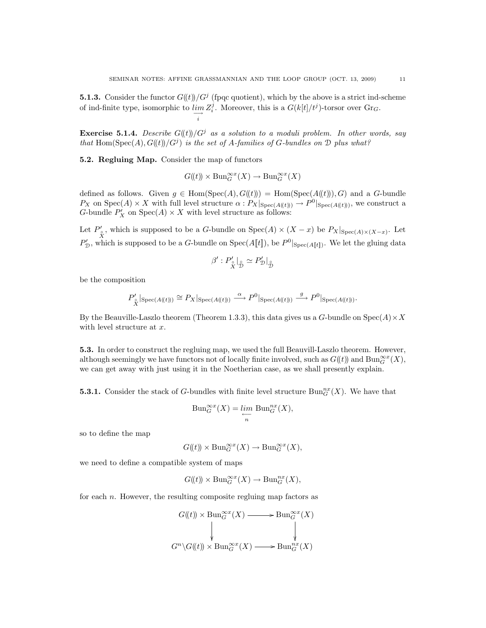**5.1.3.** Consider the functor  $G((t))/G^j$  (fpqc quotient), which by the above is a strict ind-scheme of ind-finite type, isomorphic to  $\lim_{n \to \infty} Z_i^j$ . Moreover, this is a  $G(k[t]/t^j)$ -torsor over  $\text{Gr}_G$ . i

**Exercise 5.1.4.** Describe  $G((t))/G^j$  as a solution to a moduli problem. In other words, say that Hom(Spec(A),  $G(\mathfrak{t})/G^j$  is the set of A-families of G-bundles on  $\mathfrak D$  plus what?

5.2. Regluing Map. Consider the map of functors

$$
G(\!(t)\!)\times {\operatorname{Bun}}_G^{\infty x}(X)\to {\operatorname{Bun}}_G^{\infty x}(X)
$$

defined as follows. Given  $g \in \text{Hom}(\text{Spec}(A), G(\mathcal{U})) = \text{Hom}(\text{Spec}(A(\mathcal{U})), G)$  and a G-bundle  $P_X$  on  $Spec(A) \times X$  with full level structure  $\alpha: P_X|_{Spec(A(\mathcal{L}))} \to P^0|_{Spec(A(\mathcal{L})))}$ , we construct a G-bundle  $P'_X$  on  $Spec(A) \times X$  with level structure as follows:

Let  $P'_{\circ}$ , which is supposed to be a G-bundle on  $Spec(A) \times (X - x)$  be  $P_X|_{Spec(A) \times (X - x)}$ . Let  $P'_{\mathcal{D}}$ , which is supposed to be a G-bundle on Spec(A[t]), be  $P^0|_{Spec(A[[t]])}$ . We let the gluing data

$$
\beta':P_{\overset{\circ}{X}}^{\prime}|_{\overset{\circ}{\mathcal{D}}}\simeq P_{\mathcal{D}}^{\prime}|_{\overset{\circ}{\mathcal{D}}}
$$

be the composition

$$
P'_{\overset{\circ}{X}}|_{\text{Spec}(A(\mathfrak{k}))}) \cong P_X|_{\text{Spec}(A(\mathfrak{k}))} \stackrel{\alpha}{\longrightarrow} P^0|_{\text{Spec}(A(\mathfrak{k}))} \stackrel{g}{\longrightarrow} P^0|_{\text{Spec}(A(\mathfrak{k}))}.
$$

By the Beauville-Laszlo theorem (Theorem 1.3.3), this data gives us a G-bundle on  $Spec(A) \times X$ with level structure at x.

5.3. In order to construct the regluing map, we used the full Beauvill-Laszlo theorem. However, although seemingly we have functors not of locally finite involved, such as  $G(\!(t)\!)$  and  $\text{Bun}_G^{\infty}(\mathfrak{X}),$ we can get away with just using it in the Noetherian case, as we shall presently explain.

**5.3.1.** Consider the stack of G-bundles with finite level structure  $\text{Bun}_G^{nx}(X)$ . We have that

$$
Bun_G^{\infty x}(X) = \lim_{\substack{\longleftarrow \\ n}} Bun_G^{nx}(X),
$$

so to define the map

$$
G(\!(t)\!) \times \mathrm{Bun}_G^{\infty x}(X) \to \mathrm{Bun}_G^{\infty x}(X),
$$

we need to define a compatible system of maps

$$
G(\!(t)\!) \times \mathrm{Bun}_G^{\infty x}(X) \to \mathrm{Bun}_G^{nx}(X),
$$

for each  $n$ . However, the resulting composite regluing map factors as

$$
G(\mathfrak{k})) \times \text{Bun}_G^{\infty x}(X) \longrightarrow \text{Bun}_G^{\infty x}(X)
$$
  
\n
$$
\downarrow \qquad \qquad \downarrow
$$
  
\n
$$
G^n \backslash G(\mathfrak{k})) \times \text{Bun}_G^{\infty x}(X) \longrightarrow \text{Bun}_G^{nx}(X)
$$